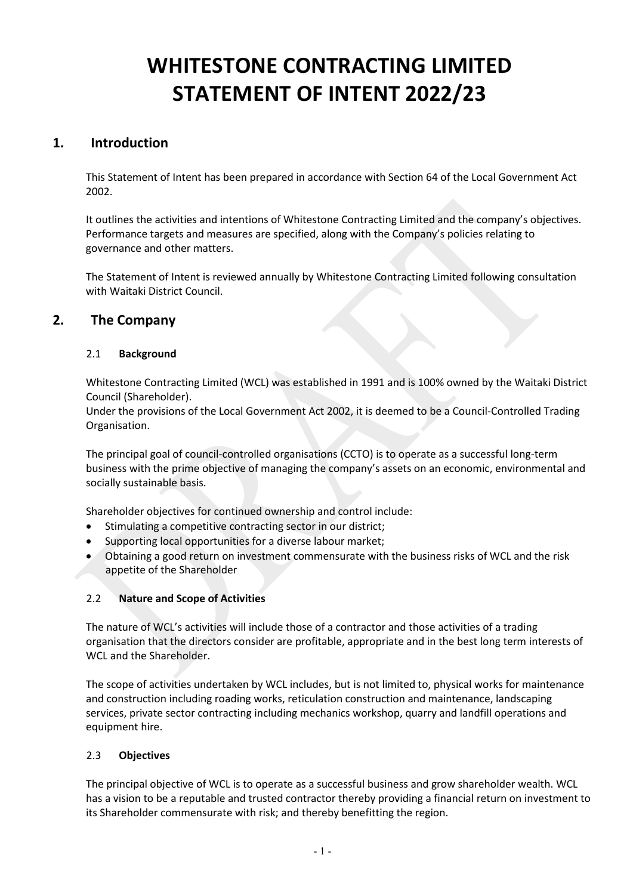# **WHITESTONE CONTRACTING LIMITED STATEMENT OF INTENT 2022/23**

# **1. Introduction**

This Statement of Intent has been prepared in accordance with Section 64 of the Local Government Act 2002.

It outlines the activities and intentions of Whitestone Contracting Limited and the company's objectives. Performance targets and measures are specified, along with the Company's policies relating to governance and other matters.

The Statement of Intent is reviewed annually by Whitestone Contracting Limited following consultation with Waitaki District Council.

# **2. The Company**

## 2.1 **Background**

Whitestone Contracting Limited (WCL) was established in 1991 and is 100% owned by the Waitaki District Council (Shareholder).

Under the provisions of the Local Government Act 2002, it is deemed to be a Council-Controlled Trading Organisation.

The principal goal of council-controlled organisations (CCTO) is to operate as a successful long-term business with the prime objective of managing the company's assets on an economic, environmental and socially sustainable basis.

Shareholder objectives for continued ownership and control include:

- Stimulating a competitive contracting sector in our district;
- Supporting local opportunities for a diverse labour market;
- Obtaining a good return on investment commensurate with the business risks of WCL and the risk appetite of the Shareholder

## 2.2 **Nature and Scope of Activities**

The nature of WCL's activities will include those of a contractor and those activities of a trading organisation that the directors consider are profitable, appropriate and in the best long term interests of WCL and the Shareholder.

The scope of activities undertaken by WCL includes, but is not limited to, physical works for maintenance and construction including roading works, reticulation construction and maintenance, landscaping services, private sector contracting including mechanics workshop, quarry and landfill operations and equipment hire.

## 2.3 **Objectives**

The principal objective of WCL is to operate as a successful business and grow shareholder wealth. WCL has a vision to be a reputable and trusted contractor thereby providing a financial return on investment to its Shareholder commensurate with risk; and thereby benefitting the region.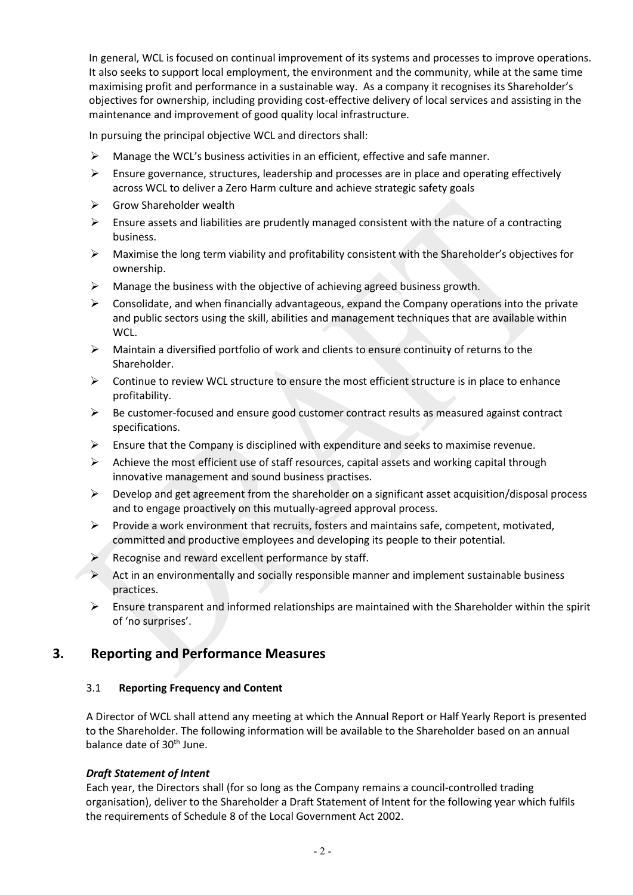In general, WCL is focused on continual improvement of its systems and processes to improve operations. It also seeks to support local employment, the environment and the community, while at the same time maximising profit and performance in a sustainable way. As a company it recognises its Shareholder's objectives for ownership, including providing cost-effective delivery of local services and assisting in the maintenance and improvement of good quality local infrastructure.

In pursuing the principal objective WCL and directors shall:

- Manage the WCL's business activities in an efficient, effective and safe manner.
- $\triangleright$  Ensure governance, structures, leadership and processes are in place and operating effectively across WCL to deliver a Zero Harm culture and achieve strategic safety goals
- $\triangleright$  Grow Shareholder wealth
- $\triangleright$  Ensure assets and liabilities are prudently managed consistent with the nature of a contracting business.
- $\triangleright$  Maximise the long term viability and profitability consistent with the Shareholder's objectives for ownership.
- $\triangleright$  Manage the business with the objective of achieving agreed business growth.
- $\triangleright$  Consolidate, and when financially advantageous, expand the Company operations into the private and public sectors using the skill, abilities and management techniques that are available within WCL.
- $\triangleright$  Maintain a diversified portfolio of work and clients to ensure continuity of returns to the Shareholder.
- $\triangleright$  Continue to review WCL structure to ensure the most efficient structure is in place to enhance profitability.
- $\triangleright$  Be customer-focused and ensure good customer contract results as measured against contract specifications.
- $\triangleright$  Ensure that the Company is disciplined with expenditure and seeks to maximise revenue.
- $\triangleright$  Achieve the most efficient use of staff resources, capital assets and working capital through innovative management and sound business practises.
- $\triangleright$  Develop and get agreement from the shareholder on a significant asset acquisition/disposal process and to engage proactively on this mutually-agreed approval process.
- $\triangleright$  Provide a work environment that recruits, fosters and maintains safe, competent, motivated, committed and productive employees and developing its people to their potential.
- $\triangleright$  Recognise and reward excellent performance by staff.
- $\triangleright$  Act in an environmentally and socially responsible manner and implement sustainable business practices.
- $\triangleright$  Ensure transparent and informed relationships are maintained with the Shareholder within the spirit of 'no surprises'.

# **3. Reporting and Performance Measures**

## 3.1 **Reporting Frequency and Content**

A Director of WCL shall attend any meeting at which the Annual Report or Half Yearly Report is presented to the Shareholder. The following information will be available to the Shareholder based on an annual balance date of 30<sup>th</sup> June.

#### *Draft Statement of Intent*

Each year, the Directors shall (for so long as the Company remains a council-controlled trading organisation), deliver to the Shareholder a Draft Statement of Intent for the following year which fulfils the requirements of Schedule 8 of the Local Government Act 2002.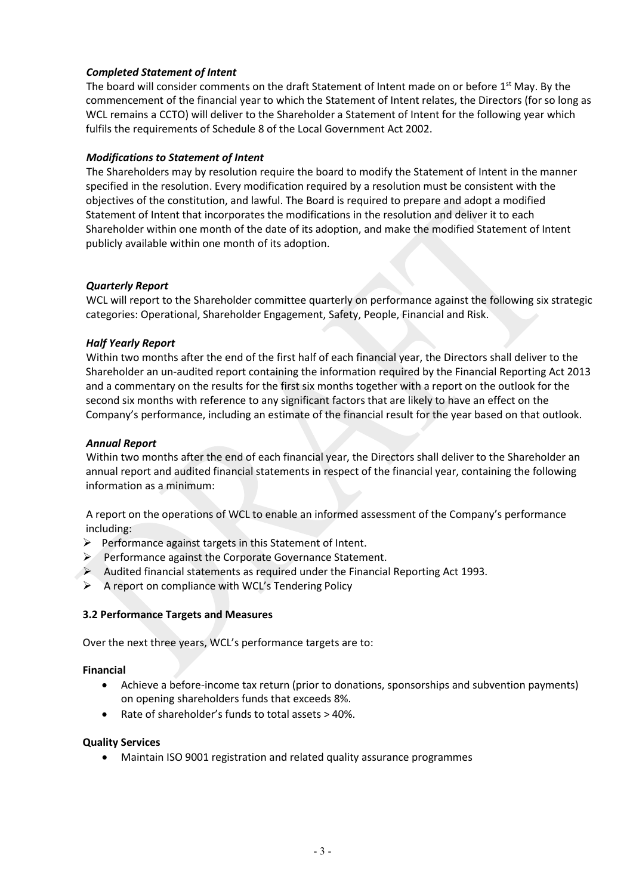## *Completed Statement of Intent*

The board will consider comments on the draft Statement of Intent made on or before 1<sup>st</sup> May. By the commencement of the financial year to which the Statement of Intent relates, the Directors (for so long as WCL remains a CCTO) will deliver to the Shareholder a Statement of Intent for the following year which fulfils the requirements of Schedule 8 of the Local Government Act 2002.

## *Modifications to Statement of Intent*

The Shareholders may by resolution require the board to modify the Statement of Intent in the manner specified in the resolution. Every modification required by a resolution must be consistent with the objectives of the constitution, and lawful. The Board is required to prepare and adopt a modified Statement of Intent that incorporates the modifications in the resolution and deliver it to each Shareholder within one month of the date of its adoption, and make the modified Statement of Intent publicly available within one month of its adoption.

#### *Quarterly Report*

WCL will report to the Shareholder committee quarterly on performance against the following six strategic categories: Operational, Shareholder Engagement, Safety, People, Financial and Risk.

#### *Half Yearly Report*

Within two months after the end of the first half of each financial year, the Directors shall deliver to the Shareholder an un-audited report containing the information required by the Financial Reporting Act 2013 and a commentary on the results for the first six months together with a report on the outlook for the second six months with reference to any significant factors that are likely to have an effect on the Company's performance, including an estimate of the financial result for the year based on that outlook.

## *Annual Report*

Within two months after the end of each financial year, the Directors shall deliver to the Shareholder an annual report and audited financial statements in respect of the financial year, containing the following information as a minimum:

A report on the operations of WCL to enable an informed assessment of the Company's performance including:

- $\triangleright$  Performance against targets in this Statement of Intent.
- $\triangleright$  Performance against the Corporate Governance Statement.
- $\triangleright$  Audited financial statements as required under the Financial Reporting Act 1993.
- $\triangleright$  A report on compliance with WCL's Tendering Policy

#### **3.2 Performance Targets and Measures**

Over the next three years, WCL's performance targets are to:

#### **Financial**

- Achieve a before-income tax return (prior to donations, sponsorships and subvention payments) on opening shareholders funds that exceeds 8%.
- Rate of shareholder's funds to total assets > 40%.

#### **Quality Services**

• Maintain ISO 9001 registration and related quality assurance programmes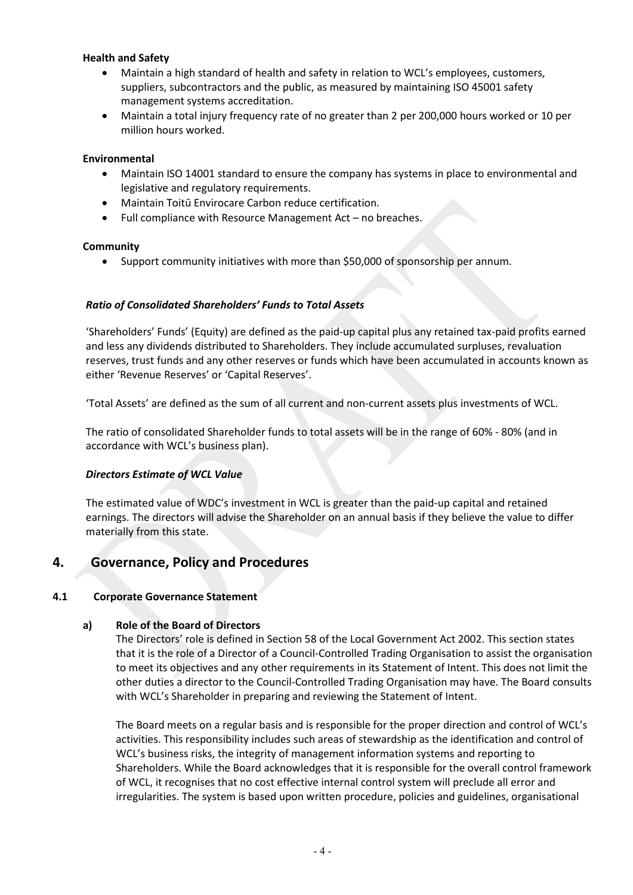#### **Health and Safety**

- Maintain a high standard of health and safety in relation to WCL's employees, customers, suppliers, subcontractors and the public, as measured by maintaining ISO 45001 safety management systems accreditation.
- Maintain a total injury frequency rate of no greater than 2 per 200,000 hours worked or 10 per million hours worked.

## **Environmental**

- Maintain ISO 14001 standard to ensure the company has systems in place to environmental and legislative and regulatory requirements.
- Maintain Toitū Envirocare Carbon reduce certification.
- Full compliance with Resource Management Act no breaches.

#### **Community**

Support community initiatives with more than \$50,000 of sponsorship per annum.

## *Ratio of Consolidated Shareholders' Funds to Total Assets*

'Shareholders' Funds' (Equity) are defined as the paid-up capital plus any retained tax-paid profits earned and less any dividends distributed to Shareholders. They include accumulated surpluses, revaluation reserves, trust funds and any other reserves or funds which have been accumulated in accounts known as either 'Revenue Reserves' or 'Capital Reserves'.

'Total Assets' are defined as the sum of all current and non-current assets plus investments of WCL.

The ratio of consolidated Shareholder funds to total assets will be in the range of 60% - 80% (and in accordance with WCL's business plan).

## *Directors Estimate of WCL Value*

The estimated value of WDC's investment in WCL is greater than the paid-up capital and retained earnings. The directors will advise the Shareholder on an annual basis if they believe the value to differ materially from this state.

# **4. Governance, Policy and Procedures**

## **4.1 Corporate Governance Statement**

## **a) Role of the Board of Directors**

The Directors' role is defined in Section 58 of the Local Government Act 2002. This section states that it is the role of a Director of a Council-Controlled Trading Organisation to assist the organisation to meet its objectives and any other requirements in its Statement of Intent. This does not limit the other duties a director to the Council-Controlled Trading Organisation may have. The Board consults with WCL's Shareholder in preparing and reviewing the Statement of Intent.

The Board meets on a regular basis and is responsible for the proper direction and control of WCL's activities. This responsibility includes such areas of stewardship as the identification and control of WCL's business risks, the integrity of management information systems and reporting to Shareholders. While the Board acknowledges that it is responsible for the overall control framework of WCL, it recognises that no cost effective internal control system will preclude all error and irregularities. The system is based upon written procedure, policies and guidelines, organisational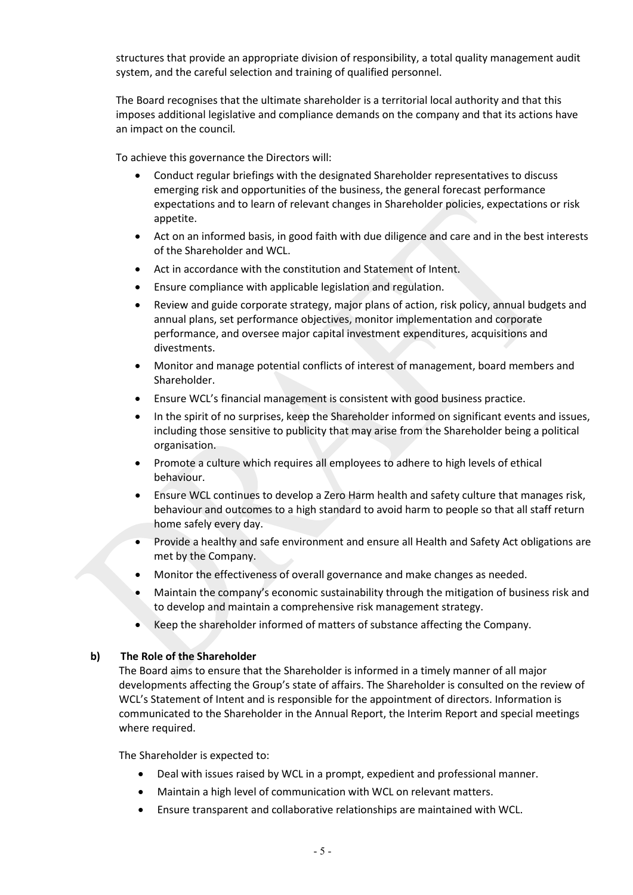structures that provide an appropriate division of responsibility, a total quality management audit system, and the careful selection and training of qualified personnel.

The Board recognises that the ultimate shareholder is a territorial local authority and that this imposes additional legislative and compliance demands on the company and that its actions have an impact on the council*.*

To achieve this governance the Directors will:

- Conduct regular briefings with the designated Shareholder representatives to discuss emerging risk and opportunities of the business, the general forecast performance expectations and to learn of relevant changes in Shareholder policies, expectations or risk appetite.
- Act on an informed basis, in good faith with due diligence and care and in the best interests of the Shareholder and WCL.
- Act in accordance with the constitution and Statement of Intent.
- Ensure compliance with applicable legislation and regulation.
- Review and guide corporate strategy, major plans of action, risk policy, annual budgets and annual plans, set performance objectives, monitor implementation and corporate performance, and oversee major capital investment expenditures, acquisitions and divestments.
- Monitor and manage potential conflicts of interest of management, board members and Shareholder.
- Ensure WCL's financial management is consistent with good business practice.
- In the spirit of no surprises, keep the Shareholder informed on significant events and issues, including those sensitive to publicity that may arise from the Shareholder being a political organisation.
- Promote a culture which requires all employees to adhere to high levels of ethical behaviour.
- Ensure WCL continues to develop a Zero Harm health and safety culture that manages risk, behaviour and outcomes to a high standard to avoid harm to people so that all staff return home safely every day.
- Provide a healthy and safe environment and ensure all Health and Safety Act obligations are met by the Company.
- Monitor the effectiveness of overall governance and make changes as needed.
- Maintain the company's economic sustainability through the mitigation of business risk and to develop and maintain a comprehensive risk management strategy.
- Keep the shareholder informed of matters of substance affecting the Company.

#### **b) The Role of the Shareholder**

The Board aims to ensure that the Shareholder is informed in a timely manner of all major developments affecting the Group's state of affairs. The Shareholder is consulted on the review of WCL's Statement of Intent and is responsible for the appointment of directors. Information is communicated to the Shareholder in the Annual Report, the Interim Report and special meetings where required.

The Shareholder is expected to:

- Deal with issues raised by WCL in a prompt, expedient and professional manner.
- Maintain a high level of communication with WCL on relevant matters.
- Ensure transparent and collaborative relationships are maintained with WCL.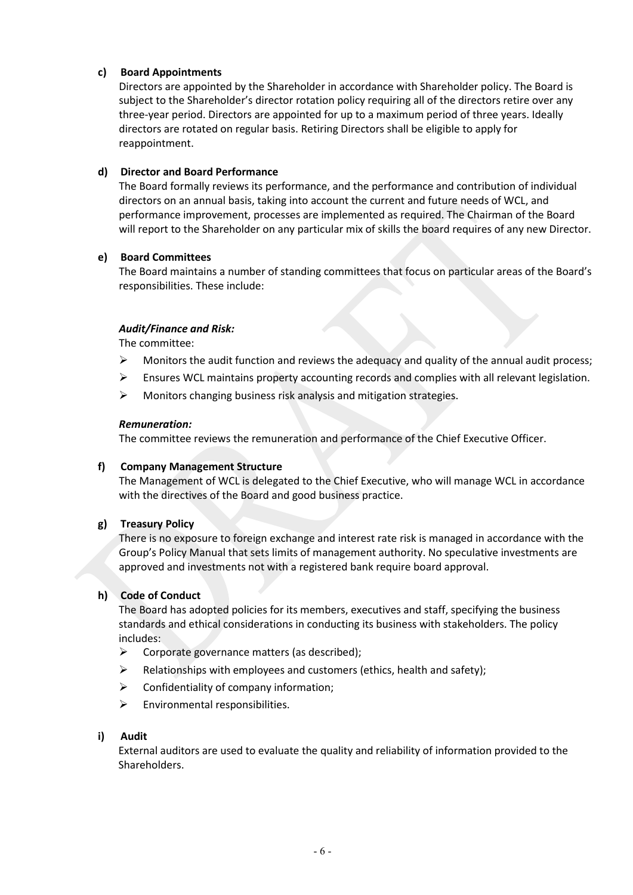## **c) Board Appointments**

Directors are appointed by the Shareholder in accordance with Shareholder policy. The Board is subject to the Shareholder's director rotation policy requiring all of the directors retire over any three-year period. Directors are appointed for up to a maximum period of three years. Ideally directors are rotated on regular basis. Retiring Directors shall be eligible to apply for reappointment.

#### **d) Director and Board Performance**

The Board formally reviews its performance, and the performance and contribution of individual directors on an annual basis, taking into account the current and future needs of WCL, and performance improvement, processes are implemented as required. The Chairman of the Board will report to the Shareholder on any particular mix of skills the board requires of any new Director.

#### **e) Board Committees**

The Board maintains a number of standing committees that focus on particular areas of the Board's responsibilities. These include:

#### *Audit/Finance and Risk:*

The committee:

- $\triangleright$  Monitors the audit function and reviews the adequacy and quality of the annual audit process;
- Ensures WCL maintains property accounting records and complies with all relevant legislation.
- $\triangleright$  Monitors changing business risk analysis and mitigation strategies.

#### *Remuneration:*

The committee reviews the remuneration and performance of the Chief Executive Officer.

#### **f) Company Management Structure**

The Management of WCL is delegated to the Chief Executive, who will manage WCL in accordance with the directives of the Board and good business practice.

## **g) Treasury Policy**

There is no exposure to foreign exchange and interest rate risk is managed in accordance with the Group's Policy Manual that sets limits of management authority. No speculative investments are approved and investments not with a registered bank require board approval.

## **h) Code of Conduct**

The Board has adopted policies for its members, executives and staff, specifying the business standards and ethical considerations in conducting its business with stakeholders. The policy includes:

- $\triangleright$  Corporate governance matters (as described);
- $\triangleright$  Relationships with employees and customers (ethics, health and safety);
- $\triangleright$  Confidentiality of company information;
- $\triangleright$  Environmental responsibilities.

#### **i) Audit**

External auditors are used to evaluate the quality and reliability of information provided to the Shareholders.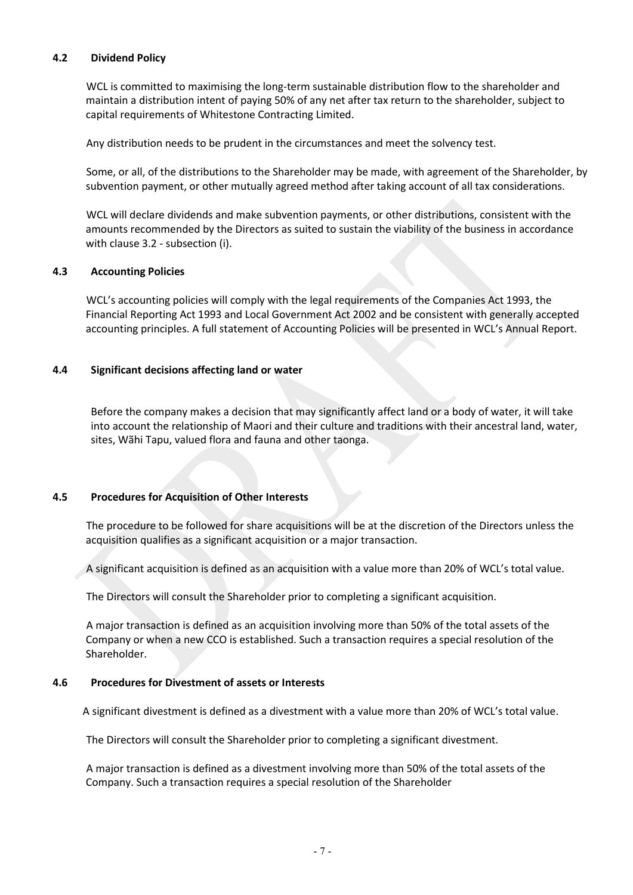#### **4.2 Dividend Policy**

WCL is committed to maximising the long-term sustainable distribution flow to the shareholder and maintain a distribution intent of paying 50% of any net after tax return to the shareholder, subject to capital requirements of Whitestone Contracting Limited.

Any distribution needs to be prudent in the circumstances and meet the solvency test.

Some, or all, of the distributions to the Shareholder may be made, with agreement of the Shareholder, by subvention payment, or other mutually agreed method after taking account of all tax considerations.

WCL will declare dividends and make subvention payments, or other distributions, consistent with the amounts recommended by the Directors as suited to sustain the viability of the business in accordance with clause 3.2 - subsection (i).

#### **4.3 Accounting Policies**

WCL's accounting policies will comply with the legal requirements of the Companies Act 1993, the Financial Reporting Act 1993 and Local Government Act 2002 and be consistent with generally accepted accounting principles. A full statement of Accounting Policies will be presented in WCL's Annual Report.

#### **4.4 Significant decisions affecting land or water**

Before the company makes a decision that may significantly affect land or a body of water, it will take into account the relationship of Maori and their culture and traditions with their ancestral land, water, sites, Wãhi Tapu, valued flora and fauna and other taonga.

#### **4.5 Procedures for Acquisition of Other Interests**

The procedure to be followed for share acquisitions will be at the discretion of the Directors unless the acquisition qualifies as a significant acquisition or a major transaction.

A significant acquisition is defined as an acquisition with a value more than 20% of WCL's total value.

The Directors will consult the Shareholder prior to completing a significant acquisition.

A major transaction is defined as an acquisition involving more than 50% of the total assets of the Company or when a new CCO is established. Such a transaction requires a special resolution of the Shareholder.

#### **4.6 Procedures for Divestment of assets or Interests**

A significant divestment is defined as a divestment with a value more than 20% of WCL's total value.

The Directors will consult the Shareholder prior to completing a significant divestment.

A major transaction is defined as a divestment involving more than 50% of the total assets of the Company. Such a transaction requires a special resolution of the Shareholder